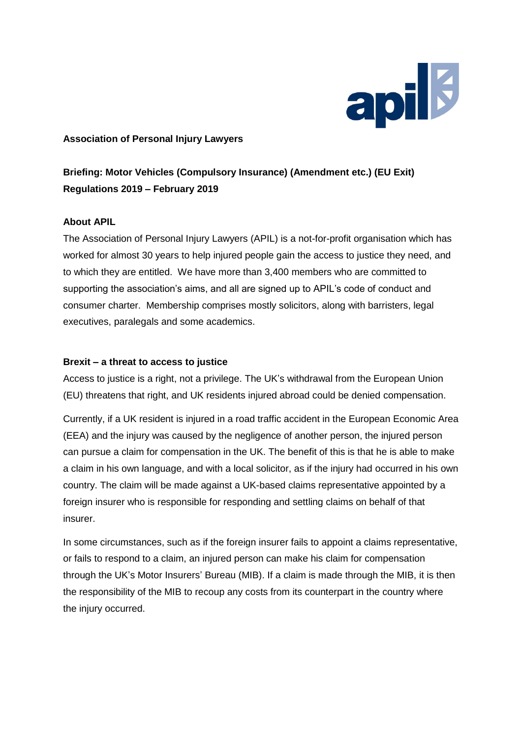

## **Association of Personal Injury Lawyers**

**Briefing: Motor Vehicles (Compulsory Insurance) (Amendment etc.) (EU Exit) Regulations 2019 – February 2019**

## **About APIL**

The Association of Personal Injury Lawyers (APIL) is a not-for-profit organisation which has worked for almost 30 years to help injured people gain the access to justice they need, and to which they are entitled. We have more than 3,400 members who are committed to supporting the association's aims, and all are signed up to APIL's code of conduct and consumer charter. Membership comprises mostly solicitors, along with barristers, legal executives, paralegals and some academics.

## **Brexit – a threat to access to justice**

Access to justice is a right, not a privilege. The UK's withdrawal from the European Union (EU) threatens that right, and UK residents injured abroad could be denied compensation.

Currently, if a UK resident is injured in a road traffic accident in the European Economic Area (EEA) and the injury was caused by the negligence of another person, the injured person can pursue a claim for compensation in the UK. The benefit of this is that he is able to make a claim in his own language, and with a local solicitor, as if the injury had occurred in his own country. The claim will be made against a UK-based claims representative appointed by a foreign insurer who is responsible for responding and settling claims on behalf of that insurer.

In some circumstances, such as if the foreign insurer fails to appoint a claims representative, or fails to respond to a claim, an injured person can make his claim for compensation through the UK's Motor Insurers' Bureau (MIB). If a claim is made through the MIB, it is then the responsibility of the MIB to recoup any costs from its counterpart in the country where the injury occurred.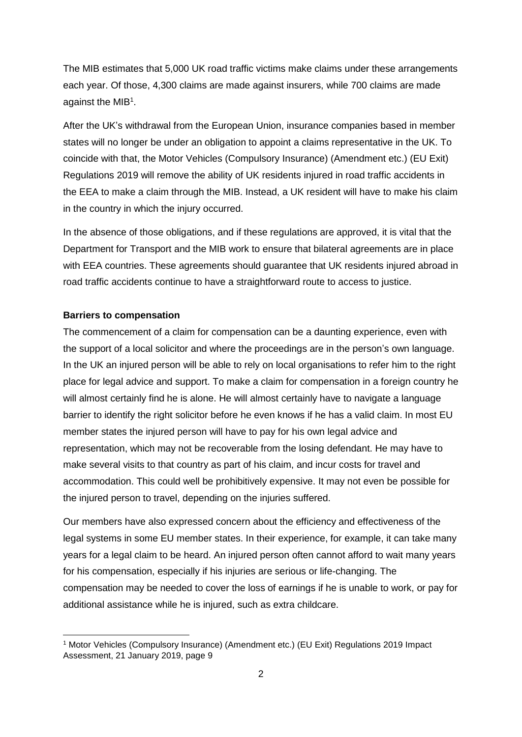The MIB estimates that 5,000 UK road traffic victims make claims under these arrangements each year. Of those, 4,300 claims are made against insurers, while 700 claims are made against the MIB<sup>1</sup>.

After the UK's withdrawal from the European Union, insurance companies based in member states will no longer be under an obligation to appoint a claims representative in the UK. To coincide with that, the Motor Vehicles (Compulsory Insurance) (Amendment etc.) (EU Exit) Regulations 2019 will remove the ability of UK residents injured in road traffic accidents in the EEA to make a claim through the MIB. Instead, a UK resident will have to make his claim in the country in which the injury occurred.

In the absence of those obligations, and if these regulations are approved, it is vital that the Department for Transport and the MIB work to ensure that bilateral agreements are in place with EEA countries. These agreements should guarantee that UK residents injured abroad in road traffic accidents continue to have a straightforward route to access to justice.

## **Barriers to compensation**

-

The commencement of a claim for compensation can be a daunting experience, even with the support of a local solicitor and where the proceedings are in the person's own language. In the UK an injured person will be able to rely on local organisations to refer him to the right place for legal advice and support. To make a claim for compensation in a foreign country he will almost certainly find he is alone. He will almost certainly have to navigate a language barrier to identify the right solicitor before he even knows if he has a valid claim. In most EU member states the injured person will have to pay for his own legal advice and representation, which may not be recoverable from the losing defendant. He may have to make several visits to that country as part of his claim, and incur costs for travel and accommodation. This could well be prohibitively expensive. It may not even be possible for the injured person to travel, depending on the injuries suffered.

Our members have also expressed concern about the efficiency and effectiveness of the legal systems in some EU member states. In their experience, for example, it can take many years for a legal claim to be heard. An injured person often cannot afford to wait many years for his compensation, especially if his injuries are serious or life-changing. The compensation may be needed to cover the loss of earnings if he is unable to work, or pay for additional assistance while he is injured, such as extra childcare.

<sup>1</sup> Motor Vehicles (Compulsory Insurance) (Amendment etc.) (EU Exit) Regulations 2019 Impact Assessment, 21 January 2019, page 9